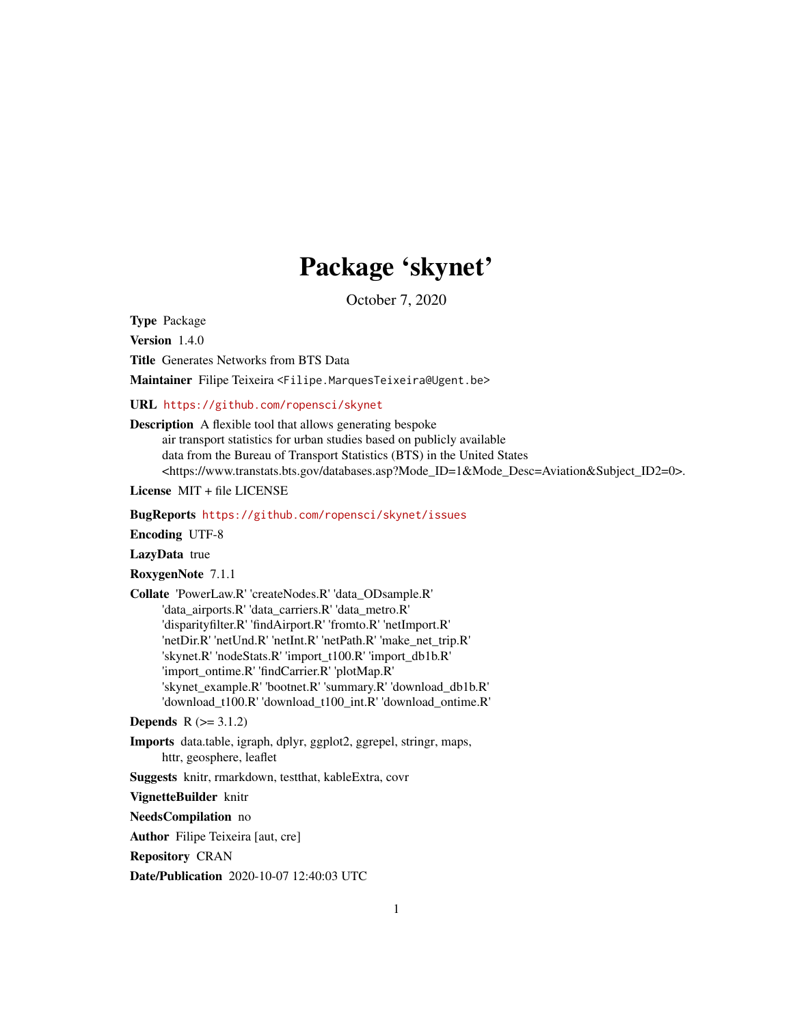# Package 'skynet'

October 7, 2020

Type Package

Version 1.4.0

Title Generates Networks from BTS Data

Maintainer Filipe Teixeira <Filipe.MarquesTeixeira@Ugent.be>

URL <https://github.com/ropensci/skynet>

Description A flexible tool that allows generating bespoke air transport statistics for urban studies based on publicly available

data from the Bureau of Transport Statistics (BTS) in the United States <https://www.transtats.bts.gov/databases.asp?Mode\_ID=1&Mode\_Desc=Aviation&Subject\_ID2=0>.

License MIT + file LICENSE

BugReports <https://github.com/ropensci/skynet/issues>

Encoding UTF-8

LazyData true

RoxygenNote 7.1.1

Collate 'PowerLaw.R' 'createNodes.R' 'data\_ODsample.R' 'data\_airports.R' 'data\_carriers.R' 'data\_metro.R' 'disparityfilter.R' 'findAirport.R' 'fromto.R' 'netImport.R' 'netDir.R' 'netUnd.R' 'netInt.R' 'netPath.R' 'make\_net\_trip.R' 'skynet.R' 'nodeStats.R' 'import\_t100.R' 'import\_db1b.R' 'import\_ontime.R' 'findCarrier.R' 'plotMap.R' 'skynet\_example.R' 'bootnet.R' 'summary.R' 'download\_db1b.R' 'download\_t100.R' 'download\_t100\_int.R' 'download\_ontime.R'

**Depends**  $R (= 3.1.2)$ 

Imports data.table, igraph, dplyr, ggplot2, ggrepel, stringr, maps, httr, geosphere, leaflet

Suggests knitr, rmarkdown, testthat, kableExtra, covr

VignetteBuilder knitr

NeedsCompilation no

Author Filipe Teixeira [aut, cre]

Repository CRAN

Date/Publication 2020-10-07 12:40:03 UTC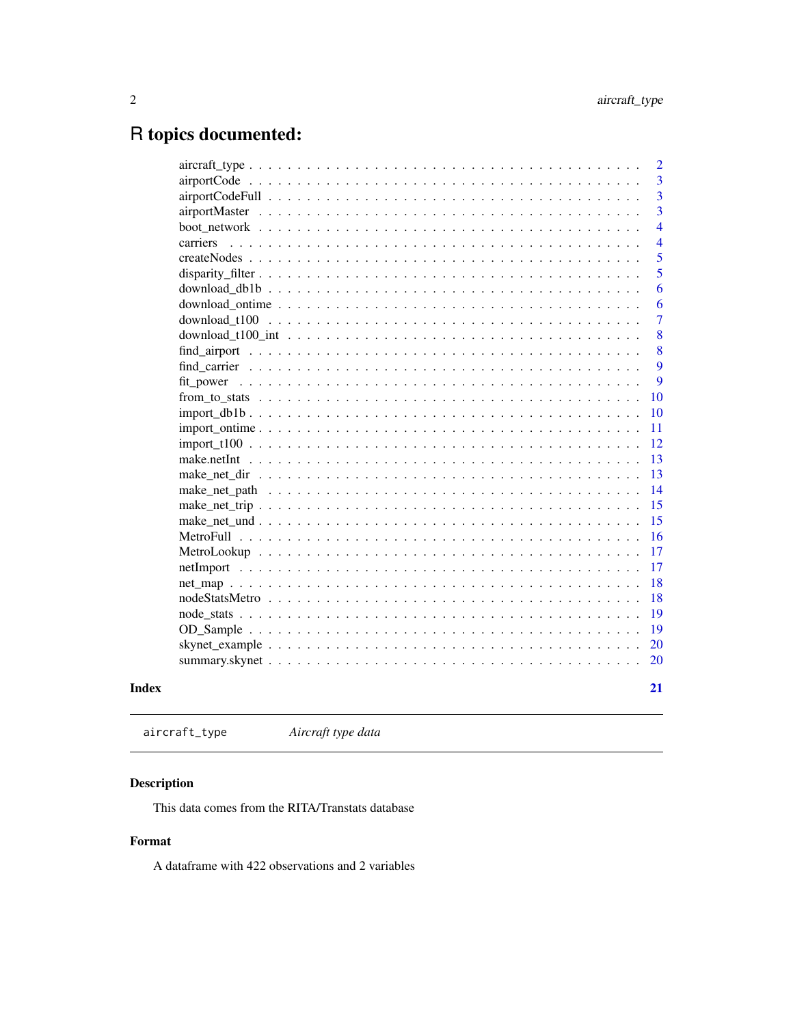# <span id="page-1-0"></span>R topics documented:

|           | $\overline{2}$ |
|-----------|----------------|
|           | 3              |
|           | $\overline{3}$ |
|           | $\overline{3}$ |
|           | $\overline{4}$ |
| carriers  | $\overline{4}$ |
|           | 5              |
|           | 5              |
|           | 6              |
|           | 6              |
|           | $\overline{7}$ |
|           | 8              |
|           | 8              |
|           | 9              |
| fit power | 9              |
|           | 10             |
|           | 10             |
|           | 11             |
|           | 12             |
|           | 13             |
|           | 13             |
|           | 14             |
|           | 15             |
|           | 15             |
|           | 16             |
|           | 17             |
|           | 17             |
|           | 18             |
|           | 18             |
|           | 19             |
|           | 19             |
|           | 20             |
|           | 20             |
|           |                |
|           | 21             |
|           |                |

# **Index**

aircraft\_type Aircraft type data

# Description

This data comes from the RITA/Transtats database

# Format

A dataframe with 422 observations and 2 variables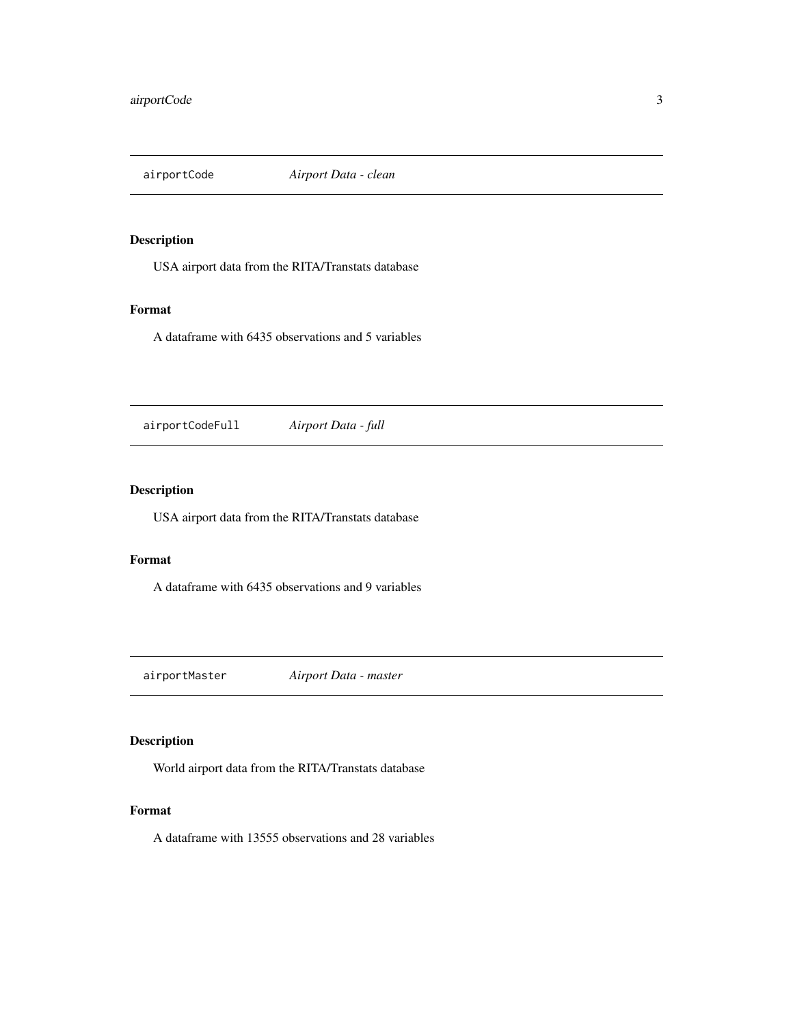<span id="page-2-0"></span>

USA airport data from the RITA/Transtats database

# Format

A dataframe with 6435 observations and 5 variables

airportCodeFull *Airport Data - full*

# Description

USA airport data from the RITA/Transtats database

# Format

A dataframe with 6435 observations and 9 variables

airportMaster *Airport Data - master*

# Description

World airport data from the RITA/Transtats database

#### Format

A dataframe with 13555 observations and 28 variables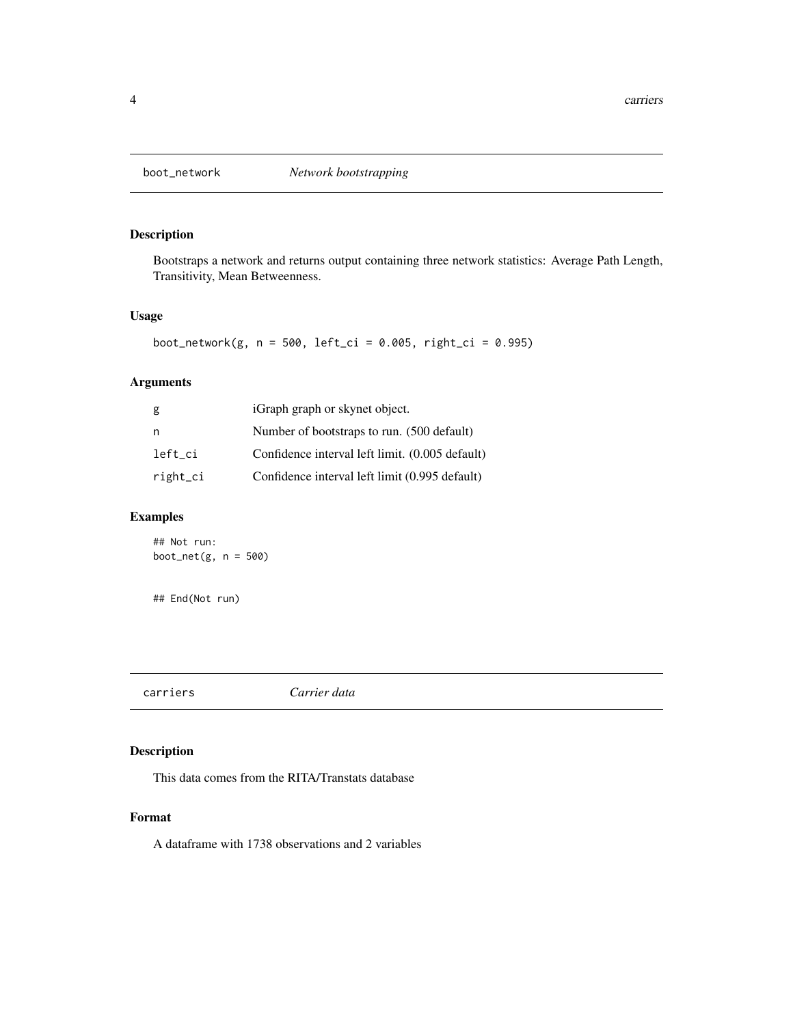<span id="page-3-0"></span>

Bootstraps a network and returns output containing three network statistics: Average Path Length, Transitivity, Mean Betweenness.

# Usage

```
boot_network(g, n = 500, left_ci = 0.005, right_ci = 0.995)
```
# Arguments

| g        | iGraph graph or skynet object.                  |
|----------|-------------------------------------------------|
| n        | Number of bootstraps to run. (500 default)      |
| left ci  | Confidence interval left limit. (0.005 default) |
| right_ci | Confidence interval left limit (0.995 default)  |

# Examples

## Not run: boot\_net $(g, n = 500)$ 

## End(Not run)

carriers *Carrier data*

# Description

This data comes from the RITA/Transtats database

#### Format

A dataframe with 1738 observations and 2 variables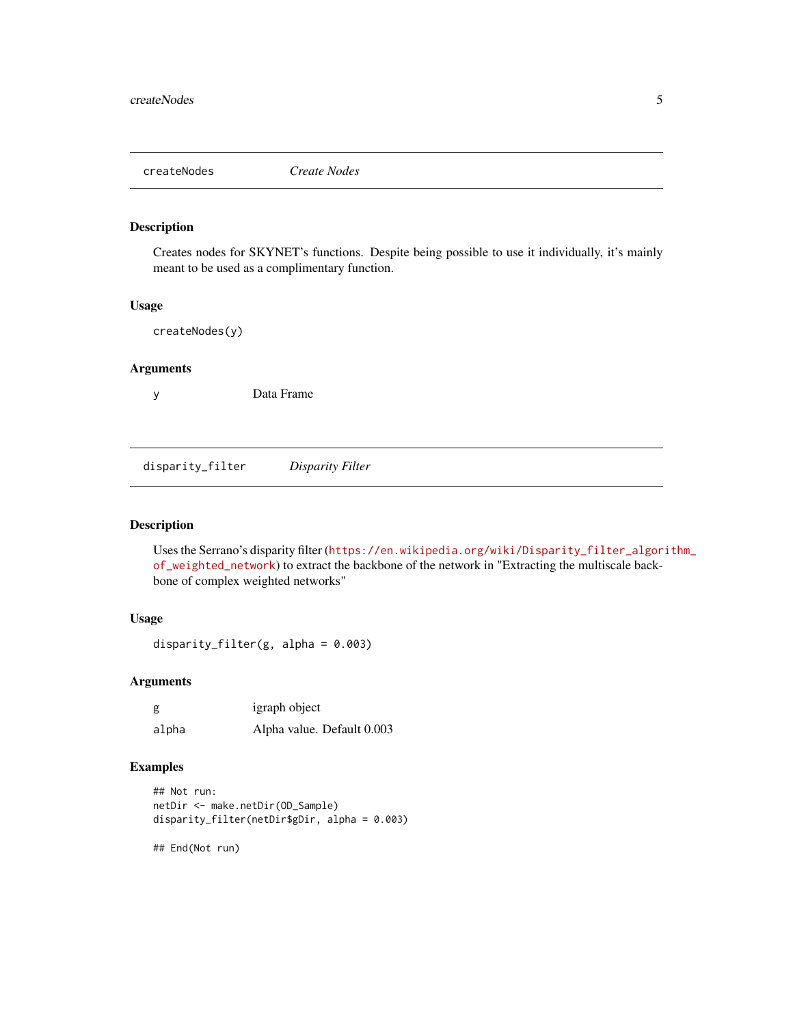<span id="page-4-0"></span>

Creates nodes for SKYNET's functions. Despite being possible to use it individually, it's mainly meant to be used as a complimentary function.

# Usage

createNodes(y)

#### Arguments

y Data Frame

disparity\_filter *Disparity Filter*

# Description

Uses the Serrano's disparity filter ([https://en.wikipedia.org/wiki/Disparity\\_filter\\_algor](https://en.wikipedia.org/wiki/Disparity_filter_algorithm_of_weighted_network)ithm\_ [of\\_weighted\\_network](https://en.wikipedia.org/wiki/Disparity_filter_algorithm_of_weighted_network)) to extract the backbone of the network in "Extracting the multiscale backbone of complex weighted networks"

# Usage

disparity\_filter(g, alpha = 0.003)

# Arguments

| g     | igraph object              |
|-------|----------------------------|
| alpha | Alpha value. Default 0.003 |

# Examples

```
## Not run:
netDir <- make.netDir(OD_Sample)
disparity_filter(netDir$gDir, alpha = 0.003)
```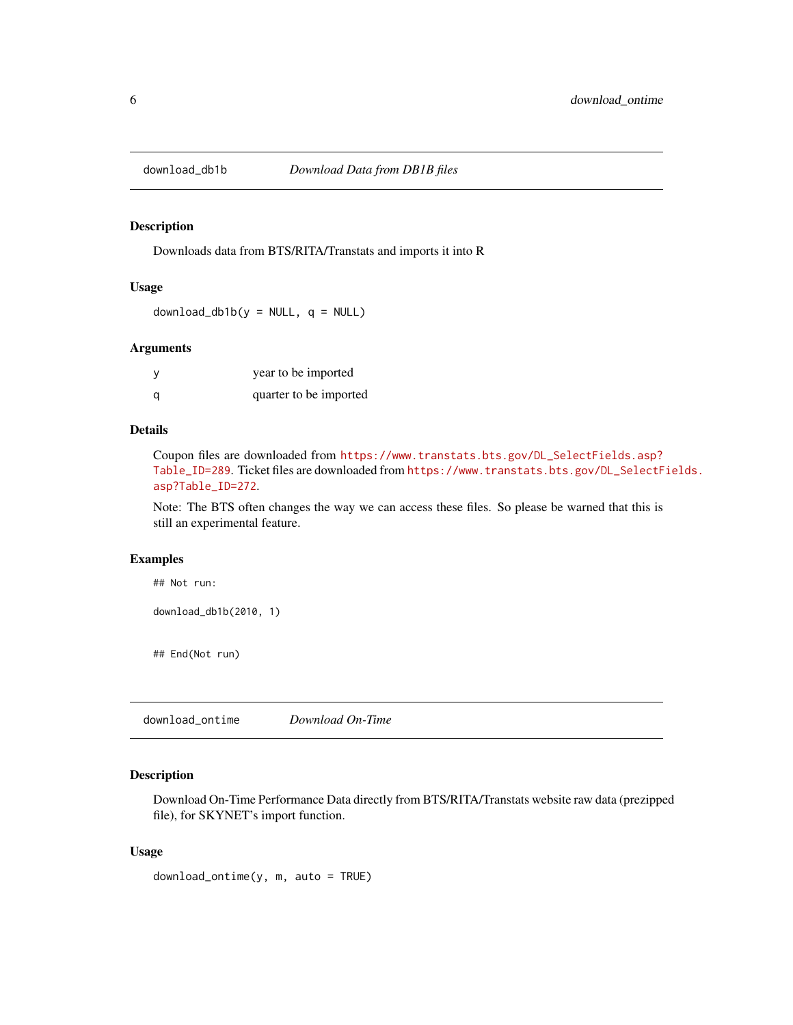<span id="page-5-0"></span>

Downloads data from BTS/RITA/Transtats and imports it into R

#### Usage

 $download_dbb1b(y = NULL, q = NULL)$ 

#### Arguments

|   | year to be imported    |
|---|------------------------|
| a | quarter to be imported |

#### Details

Coupon files are downloaded from [https://www.transtats.bts.gov/DL\\_SelectFields.asp?](https://www.transtats.bts.gov/DL_SelectFields.asp?Table_ID=289) [Table\\_ID=289](https://www.transtats.bts.gov/DL_SelectFields.asp?Table_ID=289). Ticket files are downloaded from [https://www.transtats.bts.gov/DL\\_SelectF](https://www.transtats.bts.gov/DL_SelectFields.asp?Table_ID=272)ields. [asp?Table\\_ID=272](https://www.transtats.bts.gov/DL_SelectFields.asp?Table_ID=272).

Note: The BTS often changes the way we can access these files. So please be warned that this is still an experimental feature.

#### Examples

```
## Not run:
```

```
download_db1b(2010, 1)
```
## End(Not run)

download\_ontime *Download On-Time*

# Description

Download On-Time Performance Data directly from BTS/RITA/Transtats website raw data (prezipped file), for SKYNET's import function.

#### Usage

download\_ontime(y, m, auto = TRUE)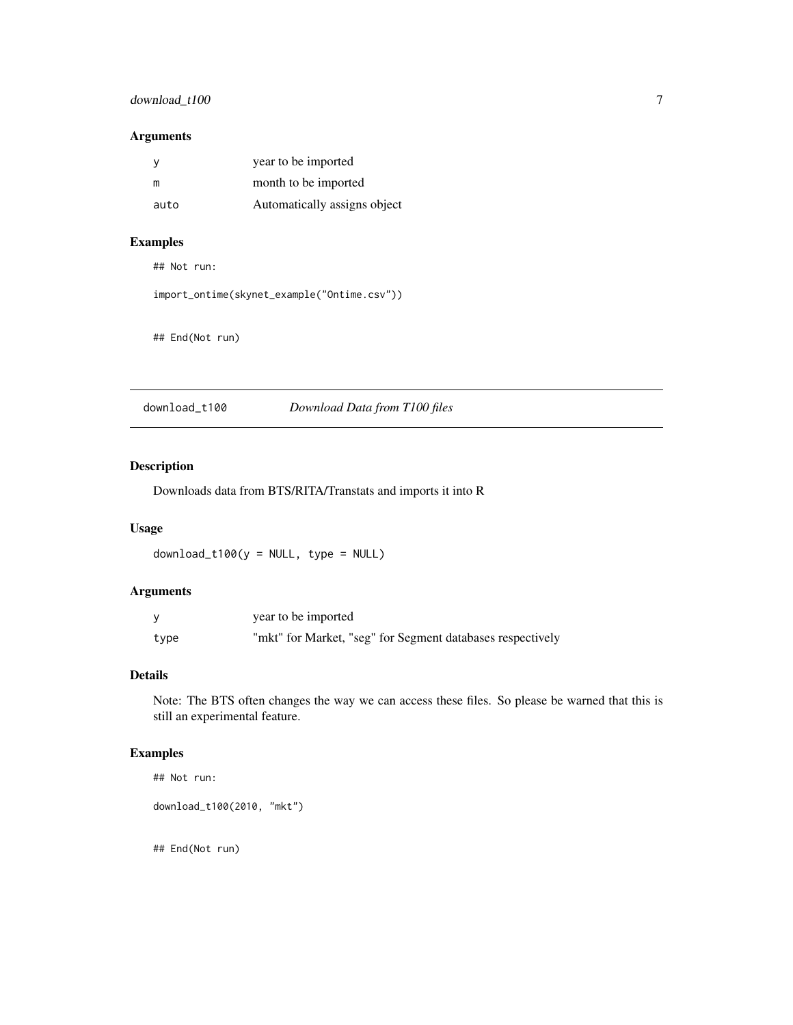# <span id="page-6-0"></span>download\_t100 7

#### Arguments

|      | year to be imported          |
|------|------------------------------|
| m    | month to be imported         |
| auto | Automatically assigns object |

# Examples

## Not run:

```
import_ontime(skynet_example("Ontime.csv"))
```

```
## End(Not run)
```
download\_t100 *Download Data from T100 files*

# Description

Downloads data from BTS/RITA/Transtats and imports it into R

# Usage

```
download_t100(y = NULL, type = NULL)
```
# Arguments

|      | year to be imported                                        |
|------|------------------------------------------------------------|
| type | "mkt" for Market, "seg" for Segment databases respectively |

# Details

Note: The BTS often changes the way we can access these files. So please be warned that this is still an experimental feature.

# Examples

```
## Not run:
```

```
download_t100(2010, "mkt")
```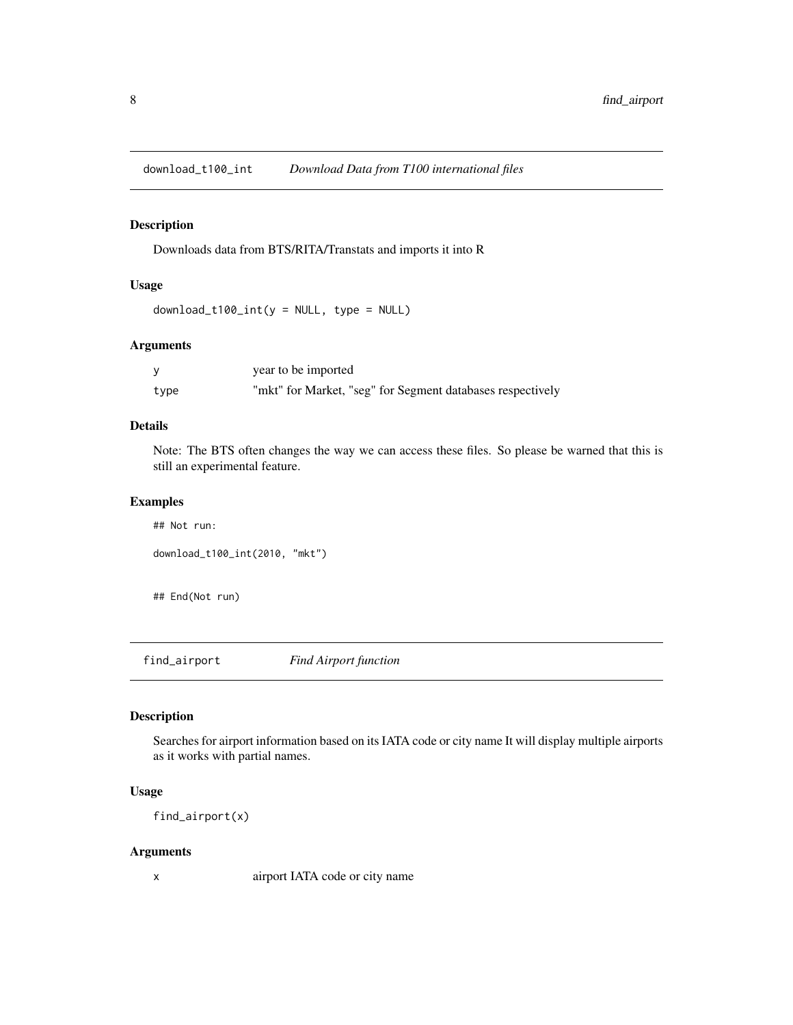<span id="page-7-0"></span>download\_t100\_int *Download Data from T100 international files*

#### Description

Downloads data from BTS/RITA/Transtats and imports it into R

# Usage

 $download_t100_int(y = NULL, type = NULL)$ 

#### Arguments

|      | year to be imported                                        |
|------|------------------------------------------------------------|
| type | "mkt" for Market, "seg" for Segment databases respectively |

#### Details

Note: The BTS often changes the way we can access these files. So please be warned that this is still an experimental feature.

# Examples

```
## Not run:
download_t100_int(2010, "mkt")
```
## End(Not run)

find\_airport *Find Airport function*

# Description

Searches for airport information based on its IATA code or city name It will display multiple airports as it works with partial names.

#### Usage

find\_airport(x)

#### Arguments

x airport IATA code or city name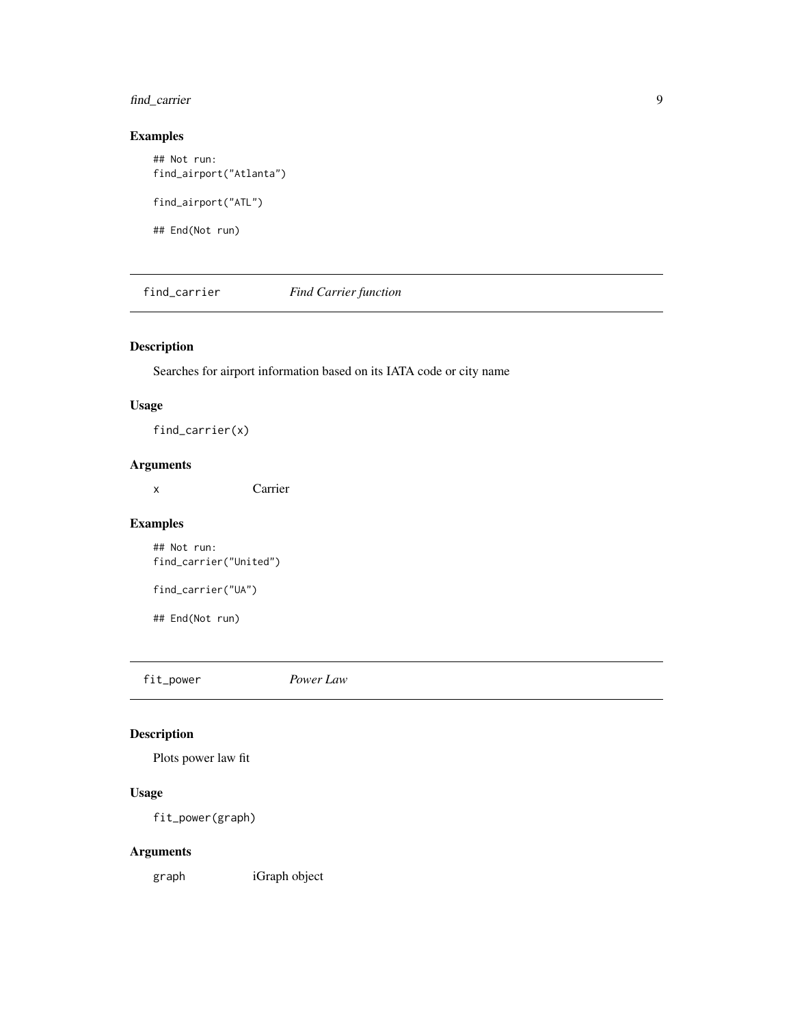# <span id="page-8-0"></span>find\_carrier 9

# Examples

```
## Not run:
find_airport("Atlanta")
find_airport("ATL")
```
## End(Not run)

find\_carrier *Find Carrier function*

# Description

Searches for airport information based on its IATA code or city name

# Usage

find\_carrier(x)

# Arguments

x Carrier

# Examples

## Not run: find\_carrier("United")

find\_carrier("UA")

## End(Not run)

fit\_power *Power Law*

# Description

Plots power law fit

# Usage

fit\_power(graph)

# Arguments

graph iGraph object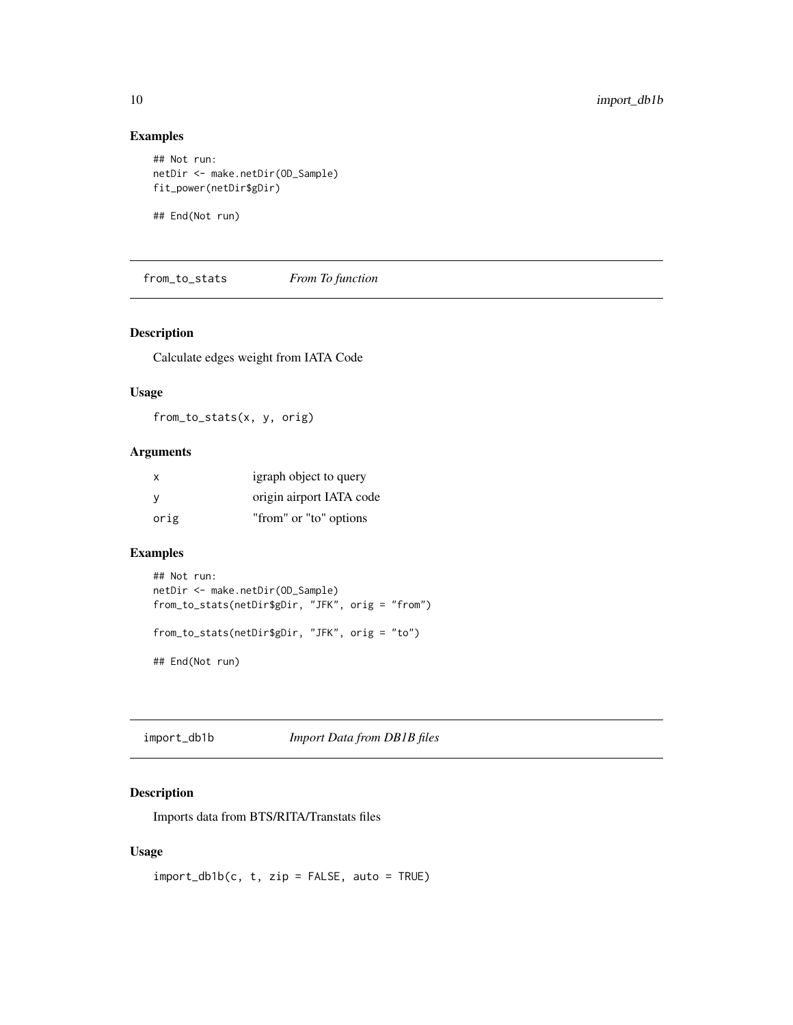# Examples

```
## Not run:
netDir <- make.netDir(OD_Sample)
fit_power(netDir$gDir)
```
## End(Not run)

from\_to\_stats *From To function*

# Description

Calculate edges weight from IATA Code

#### Usage

from\_to\_stats(x, y, orig)

# Arguments

| X    | igraph object to query   |
|------|--------------------------|
| - V  | origin airport IATA code |
| orig | "from" or "to" options   |

#### Examples

```
## Not run:
netDir <- make.netDir(OD_Sample)
from_to_stats(netDir$gDir, "JFK", orig = "from")
from_to_stats(netDir$gDir, "JFK", orig = "to")
## End(Not run)
```
import\_db1b *Import Data from DB1B files*

# Description

Imports data from BTS/RITA/Transtats files

# Usage

 $import_dblbc, t, zip = FALSE, auto = TRUE)$ 

<span id="page-9-0"></span>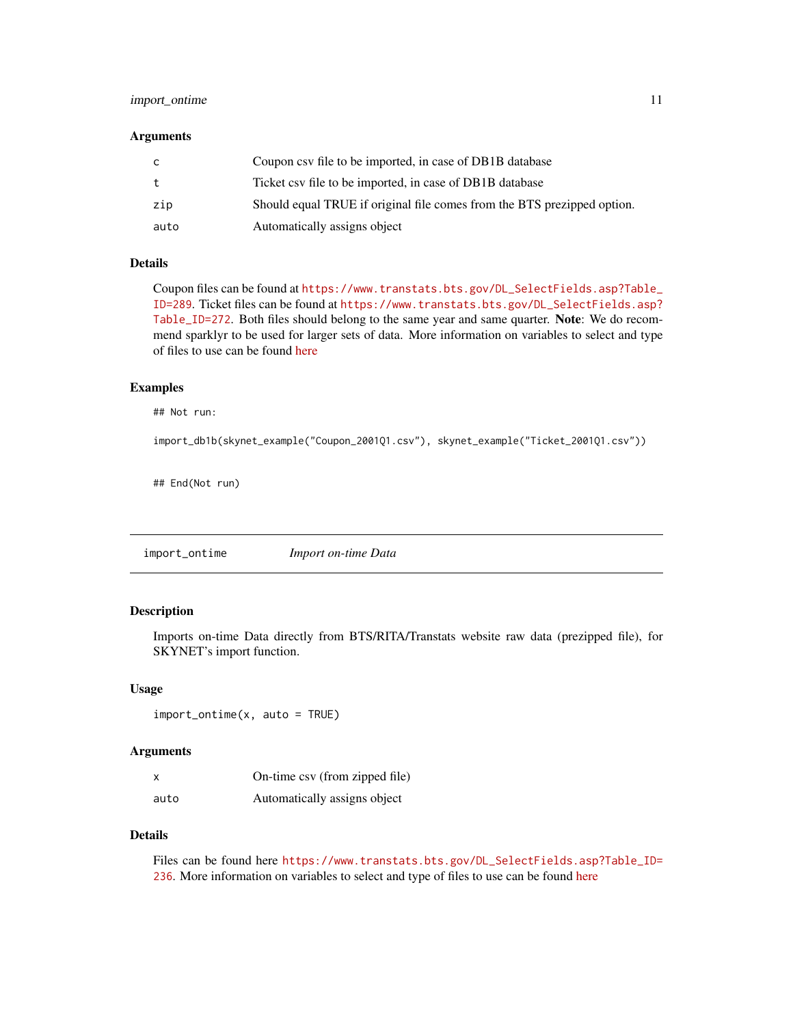# <span id="page-10-0"></span>import\_ontime 11

#### **Arguments**

| C.   | Coupon csv file to be imported, in case of DB1B database                |
|------|-------------------------------------------------------------------------|
| t    | Ticket csv file to be imported, in case of DB1B database                |
| zip  | Should equal TRUE if original file comes from the BTS prezipped option. |
| auto | Automatically assigns object                                            |

# Details

Coupon files can be found at [https://www.transtats.bts.gov/DL\\_SelectFields.asp?Table\\_](https://www.transtats.bts.gov/DL_SelectFields.asp?Table_ID=289) [ID=289](https://www.transtats.bts.gov/DL_SelectFields.asp?Table_ID=289). Ticket files can be found at [https://www.transtats.bts.gov/DL\\_SelectFields.asp?](https://www.transtats.bts.gov/DL_SelectFields.asp?Table_ID=272) [Table\\_ID=272](https://www.transtats.bts.gov/DL_SelectFields.asp?Table_ID=272). Both files should belong to the same year and same quarter. Note: We do recommend sparklyr to be used for larger sets of data. More information on variables to select and type of files to use can be found [here](https://github.com/ropensci/skynet)

#### Examples

## Not run:

```
import_db1b(skynet_example("Coupon_2001Q1.csv"), skynet_example("Ticket_2001Q1.csv"))
```
## End(Not run)

import\_ontime *Import on-time Data*

# Description

Imports on-time Data directly from BTS/RITA/Transtats website raw data (prezipped file), for SKYNET's import function.

#### Usage

```
import_ontime(x, auto = TRUE)
```
#### **Arguments**

| $\boldsymbol{\mathsf{x}}$ | On-time csv (from zipped file) |
|---------------------------|--------------------------------|
| auto                      | Automatically assigns object   |

# Details

Files can be found here [https://www.transtats.bts.gov/DL\\_SelectFields.asp?Table\\_ID=](https://www.transtats.bts.gov/DL_SelectFields.asp?Table_ID=236) [236](https://www.transtats.bts.gov/DL_SelectFields.asp?Table_ID=236). More information on variables to select and type of files to use can be found [here](https://github.com/ropensci/skynet)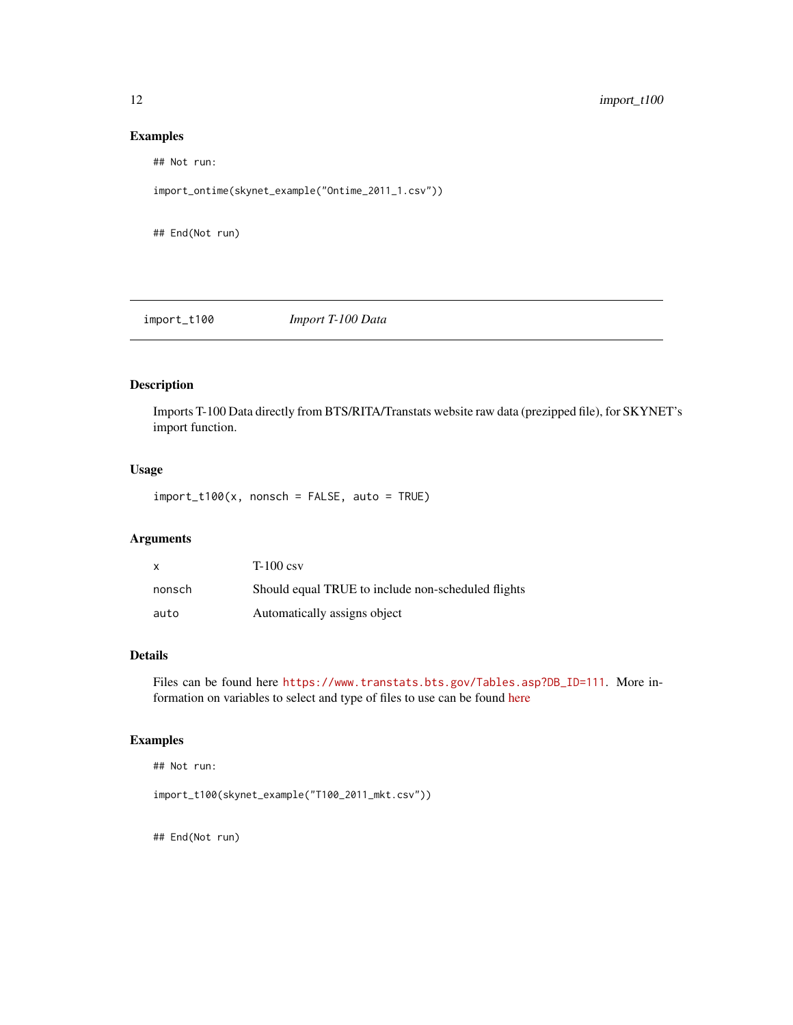#### Examples

## Not run:

import\_ontime(skynet\_example("Ontime\_2011\_1.csv"))

## End(Not run)

import\_t100 *Import T-100 Data*

# Description

Imports T-100 Data directly from BTS/RITA/Transtats website raw data (prezipped file), for SKYNET's import function.

# Usage

 $import_t100(x, nonsch = FALSE, auto = TRUE)$ 

#### Arguments

| x      | $T-100 \text{ csv}$                                |
|--------|----------------------------------------------------|
| nonsch | Should equal TRUE to include non-scheduled flights |
| auto   | Automatically assigns object                       |

# Details

Files can be found here [https://www.transtats.bts.gov/Tables.asp?DB\\_ID=111](https://www.transtats.bts.gov/Tables.asp?DB_ID=111). More information on variables to select and type of files to use can be found [here](https://github.com/ropensci/skynet)

# Examples

```
## Not run:
```
import\_t100(skynet\_example("T100\_2011\_mkt.csv"))

<span id="page-11-0"></span>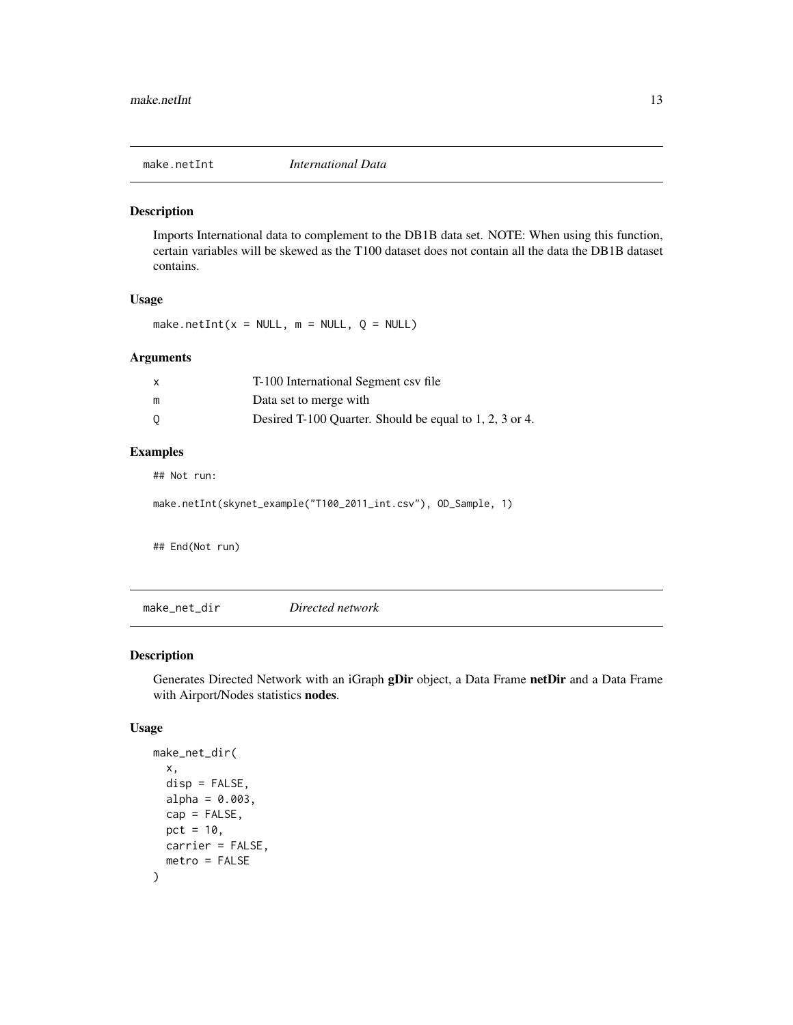<span id="page-12-0"></span>

Imports International data to complement to the DB1B data set. NOTE: When using this function, certain variables will be skewed as the T100 dataset does not contain all the data the DB1B dataset contains.

#### Usage

make.netInt( $x = NULL$ ,  $m = NULL$ ,  $Q = NULL$ )

#### Arguments

|   | T-100 International Segment csv file                    |
|---|---------------------------------------------------------|
| m | Data set to merge with                                  |
| 0 | Desired T-100 Quarter. Should be equal to 1, 2, 3 or 4. |

# Examples

## Not run:

```
make.netInt(skynet_example("T100_2011_int.csv"), OD_Sample, 1)
```
## End(Not run)

make\_net\_dir *Directed network*

# Description

Generates Directed Network with an iGraph gDir object, a Data Frame netDir and a Data Frame with Airport/Nodes statistics nodes.

#### Usage

```
make_net_dir(
  x,
  disp = FALSE,alpha = 0.003,
  cap = FALSE,
 pct = 10,
 carrier = FALSE,
  metro = FALSE
)
```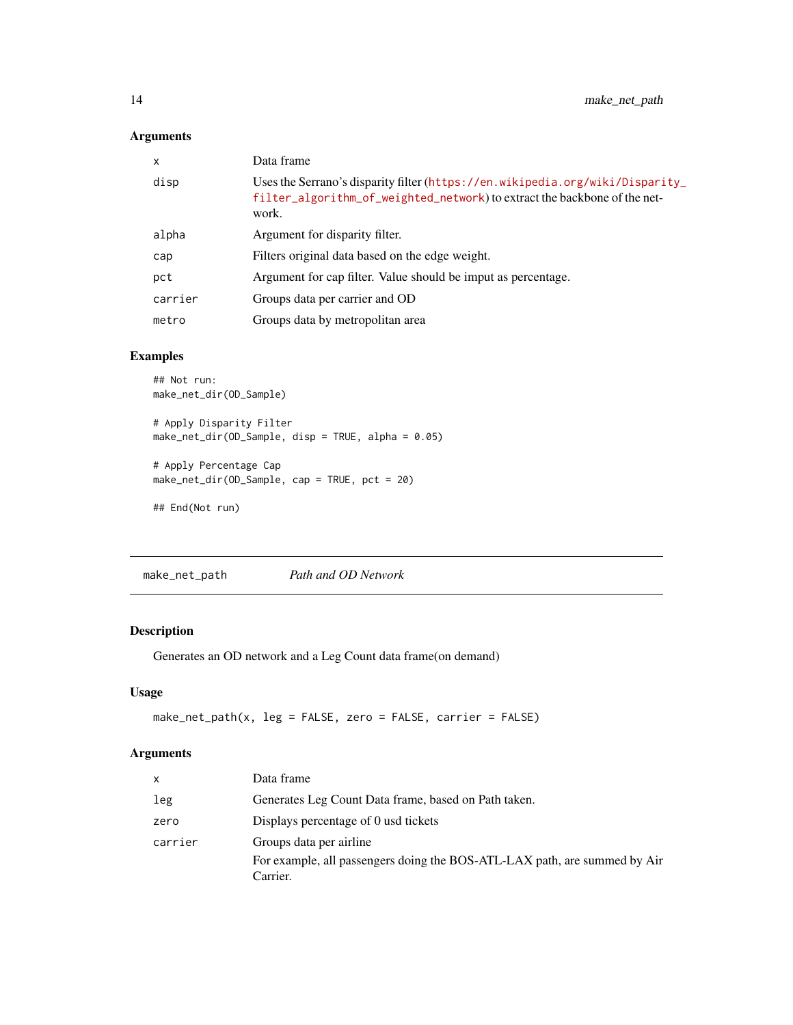# <span id="page-13-0"></span>Arguments

| $\mathsf{x}$ | Data frame                                                                                                                                                          |
|--------------|---------------------------------------------------------------------------------------------------------------------------------------------------------------------|
| disp         | Uses the Serrano's disparity filter (https://en.wikipedia.org/wiki/Disparity_<br>filter_algorithm_of_weighted_network) to extract the backbone of the net-<br>work. |
| alpha        | Argument for disparity filter.                                                                                                                                      |
| cap          | Filters original data based on the edge weight.                                                                                                                     |
| pct          | Argument for cap filter. Value should be imput as percentage.                                                                                                       |
| carrier      | Groups data per carrier and OD                                                                                                                                      |
| metro        | Groups data by metropolitan area                                                                                                                                    |

# Examples

```
## Not run:
make_net_dir(OD_Sample)
# Apply Disparity Filter
make_net_dir(OD_Sample, disp = TRUE, alpha = 0.05)
# Apply Percentage Cap
make_net_dir(OD_Sample, cap = TRUE, pct = 20)
```

```
## End(Not run)
```
make\_net\_path *Path and OD Network*

# Description

Generates an OD network and a Leg Count data frame(on demand)

# Usage

```
make_net_path(x, leg = FALSE, zero = FALSE, carrier = FALSE)
```
# Arguments

| $\mathsf{x}$ | Data frame                                                                |
|--------------|---------------------------------------------------------------------------|
| leg          | Generates Leg Count Data frame, based on Path taken.                      |
| zero         | Displays percentage of 0 usd tickets                                      |
| carrier      | Groups data per airline                                                   |
|              | For example, all passengers doing the BOS-ATL-LAX path, are summed by Air |
|              | Carrier.                                                                  |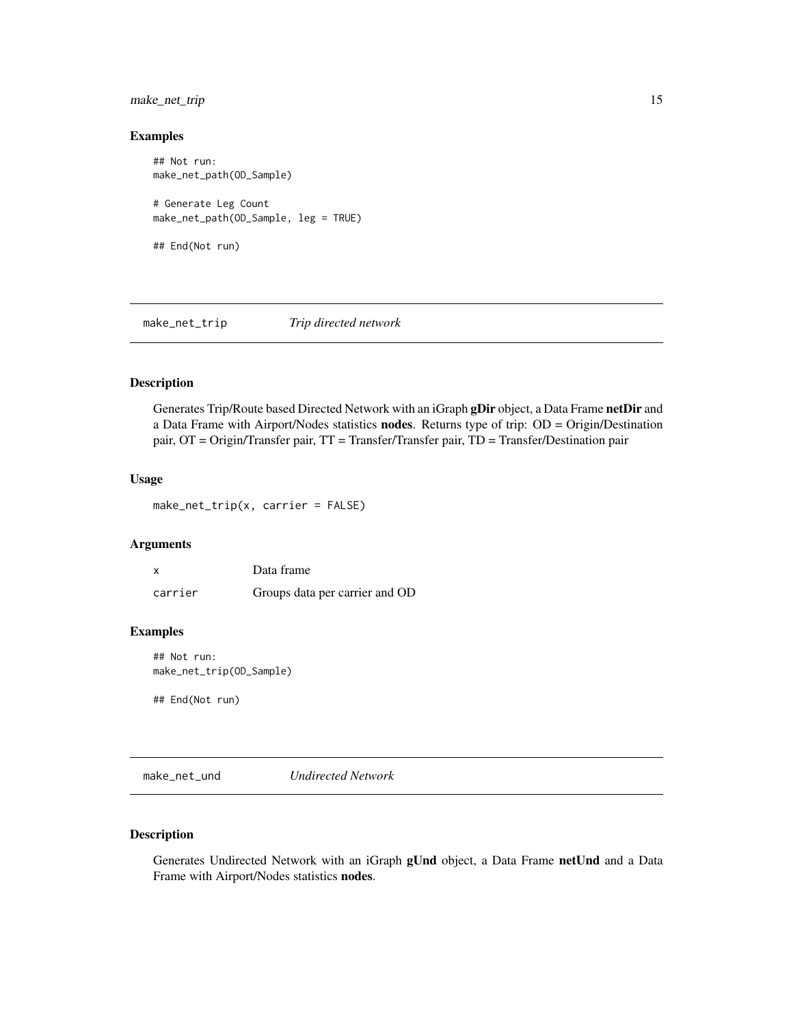# <span id="page-14-0"></span>make\_net\_trip 15

#### Examples

```
## Not run:
make_net_path(OD_Sample)
# Generate Leg Count
make_net_path(OD_Sample, leg = TRUE)
## End(Not run)
```
make\_net\_trip *Trip directed network*

# Description

Generates Trip/Route based Directed Network with an iGraph gDir object, a Data Frame netDir and a Data Frame with Airport/Nodes statistics nodes. Returns type of trip: OD = Origin/Destination pair, OT = Origin/Transfer pair, TT = Transfer/Transfer pair, TD = Transfer/Destination pair

#### Usage

make\_net\_trip(x, carrier = FALSE)

# Arguments

| X       | Data frame                     |
|---------|--------------------------------|
| carrier | Groups data per carrier and OD |

#### Examples

## Not run: make\_net\_trip(OD\_Sample)

## End(Not run)

make\_net\_und *Undirected Network*

# Description

Generates Undirected Network with an iGraph gUnd object, a Data Frame netUnd and a Data Frame with Airport/Nodes statistics nodes.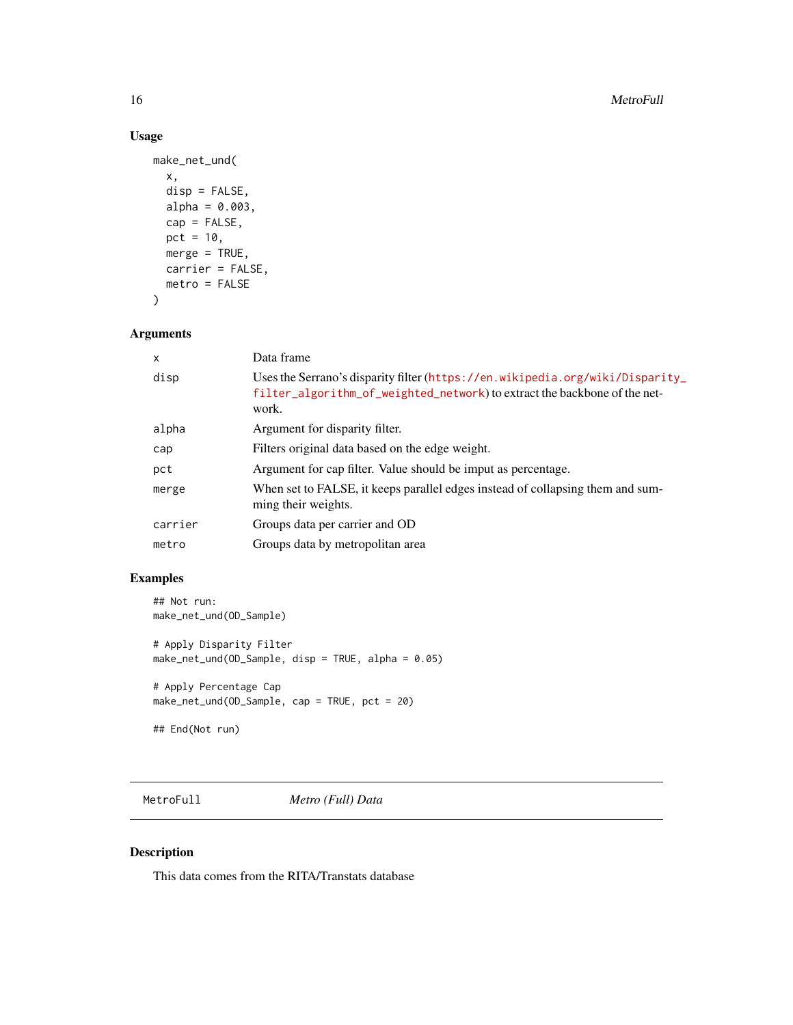# Usage

```
make_net_und(
  x,
  disp = FALSE,
 alpha = 0.003,
 cap = FALSE,
 pct = 10,
 merge = TRUE,
 carrier = FALSE,
 metro = FALSE
)
```
# Arguments

| $\mathsf{x}$ | Data frame                                                                                                                                                          |
|--------------|---------------------------------------------------------------------------------------------------------------------------------------------------------------------|
| disp         | Uses the Serrano's disparity filter (https://en.wikipedia.org/wiki/Disparity_<br>filter_algorithm_of_weighted_network) to extract the backbone of the net-<br>work. |
| alpha        | Argument for disparity filter.                                                                                                                                      |
| cap          | Filters original data based on the edge weight.                                                                                                                     |
| pct          | Argument for cap filter. Value should be imput as percentage.                                                                                                       |
| merge        | When set to FALSE, it keeps parallel edges instead of collapsing them and sum-<br>ming their weights.                                                               |
| carrier      | Groups data per carrier and OD                                                                                                                                      |
| metro        | Groups data by metropolitan area                                                                                                                                    |
|              |                                                                                                                                                                     |

# Examples

```
## Not run:
make_net_und(OD_Sample)
# Apply Disparity Filter
make_net_und(OD_Sample, disp = TRUE, alpha = 0.05)
# Apply Percentage Cap
make_net_und(OD_Sample, cap = TRUE, pct = 20)
## End(Not run)
```
MetroFull *Metro (Full) Data*

# Description

This data comes from the RITA/Transtats database

<span id="page-15-0"></span>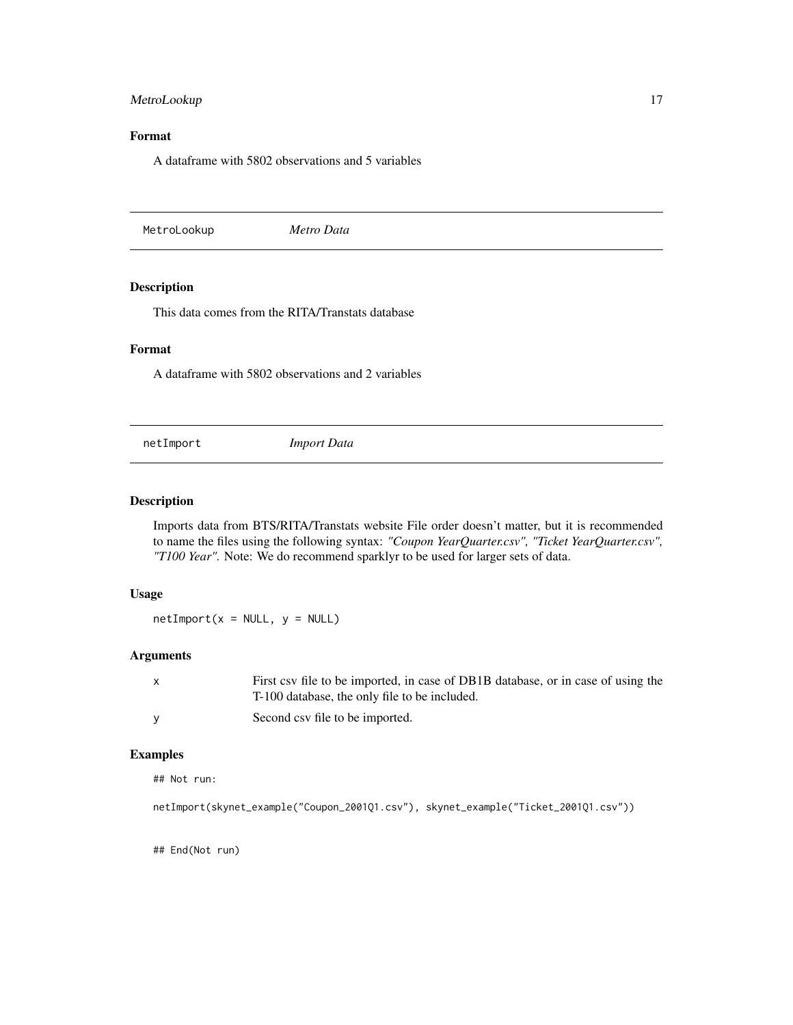# <span id="page-16-0"></span>MetroLookup 17

# Format

A dataframe with 5802 observations and 5 variables

MetroLookup *Metro Data*

# Description

This data comes from the RITA/Transtats database

# Format

A dataframe with 5802 observations and 2 variables

netImport *Import Data*

#### Description

Imports data from BTS/RITA/Transtats website File order doesn't matter, but it is recommended to name the files using the following syntax: *"Coupon YearQuarter.csv", "Ticket YearQuarter.csv", "T100 Year".* Note: We do recommend sparklyr to be used for larger sets of data.

#### Usage

 $netImport(x = NULL, y = NULL)$ 

#### Arguments

| $\mathsf{x}$ | First csy file to be imported, in case of DB1B database, or in case of using the |
|--------------|----------------------------------------------------------------------------------|
|              | T-100 database, the only file to be included.                                    |
| <b>V</b>     | Second csy file to be imported.                                                  |

# Examples

## Not run:

```
netImport(skynet_example("Coupon_2001Q1.csv"), skynet_example("Ticket_2001Q1.csv"))
```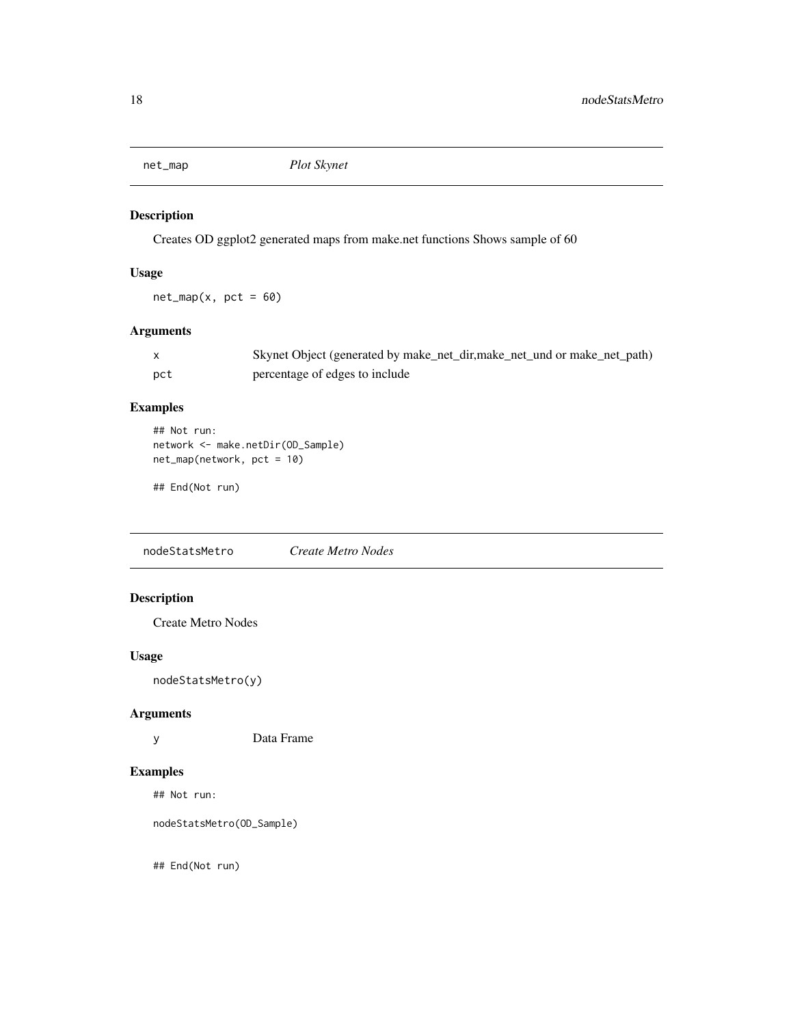<span id="page-17-0"></span>

Creates OD ggplot2 generated maps from make.net functions Shows sample of 60

# Usage

 $net_map(x, pct = 60)$ 

# Arguments

|     | Skynet Object (generated by make_net_dir,make_net_und or make_net_path) |
|-----|-------------------------------------------------------------------------|
| pct | percentage of edges to include                                          |

# Examples

```
## Not run:
network <- make.netDir(OD_Sample)
net_map(network, pct = 10)
```

```
## End(Not run)
```
nodeStatsMetro *Create Metro Nodes*

# Description

Create Metro Nodes

# Usage

nodeStatsMetro(y)

# Arguments

y Data Frame

#### Examples

## Not run:

nodeStatsMetro(OD\_Sample)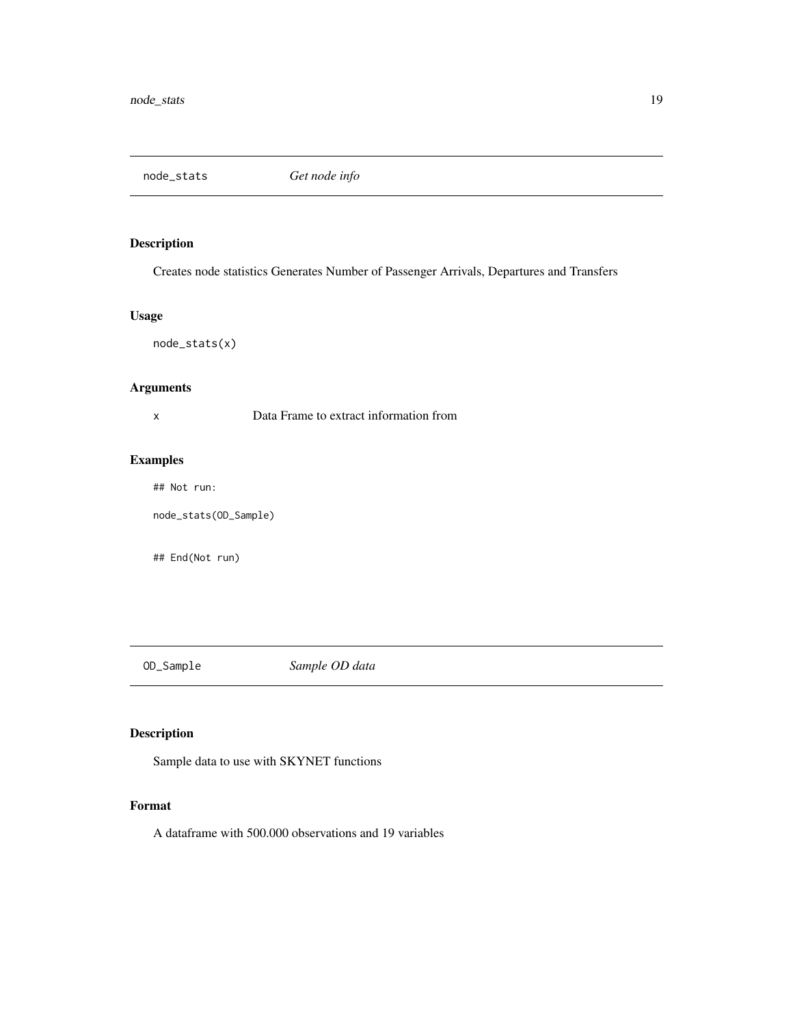<span id="page-18-0"></span>node\_stats *Get node info*

# Description

Creates node statistics Generates Number of Passenger Arrivals, Departures and Transfers

# Usage

node\_stats(x)

# Arguments

x Data Frame to extract information from

# Examples

## Not run:

node\_stats(OD\_Sample)

## End(Not run)

OD\_Sample *Sample OD data*

# Description

Sample data to use with SKYNET functions

# Format

A dataframe with 500.000 observations and 19 variables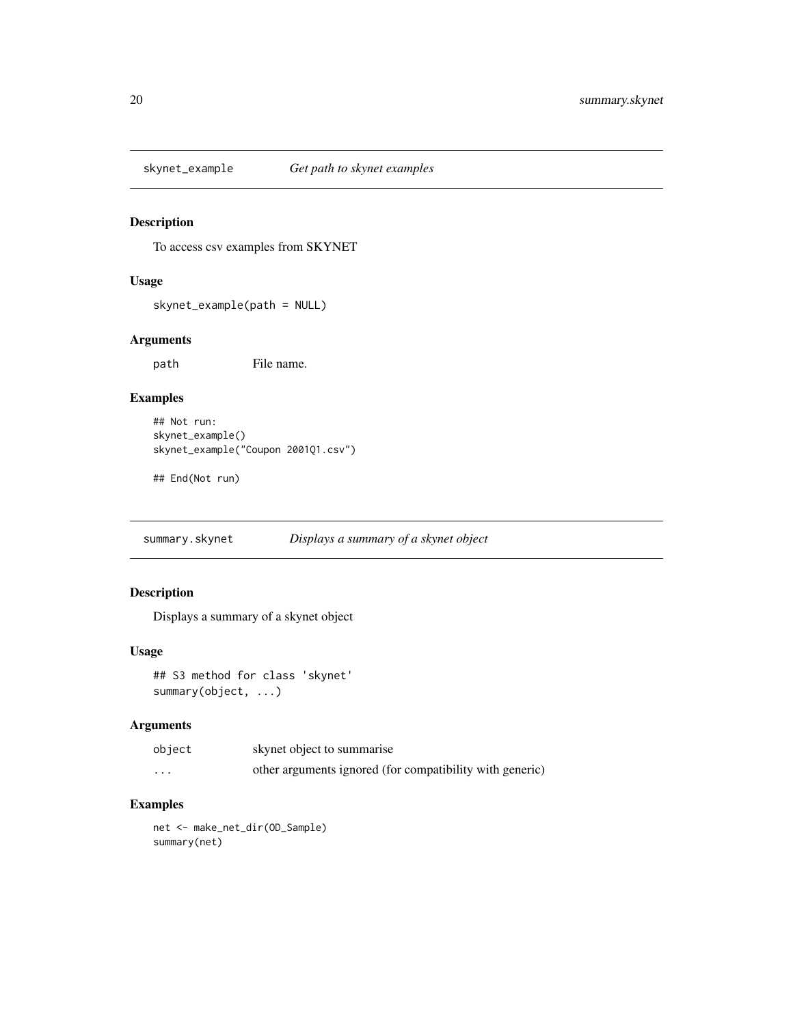<span id="page-19-0"></span>

To access csv examples from SKYNET

# Usage

skynet\_example(path = NULL)

# Arguments

path File name.

# Examples

```
## Not run:
skynet_example()
skynet_example("Coupon 2001Q1.csv")
```
## End(Not run)

summary.skynet *Displays a summary of a skynet object*

#### Description

Displays a summary of a skynet object

### Usage

## S3 method for class 'skynet' summary(object, ...)

#### Arguments

| object   | skynet object to summarise                               |
|----------|----------------------------------------------------------|
| $\cdots$ | other arguments ignored (for compatibility with generic) |

# Examples

net <- make\_net\_dir(OD\_Sample) summary(net)